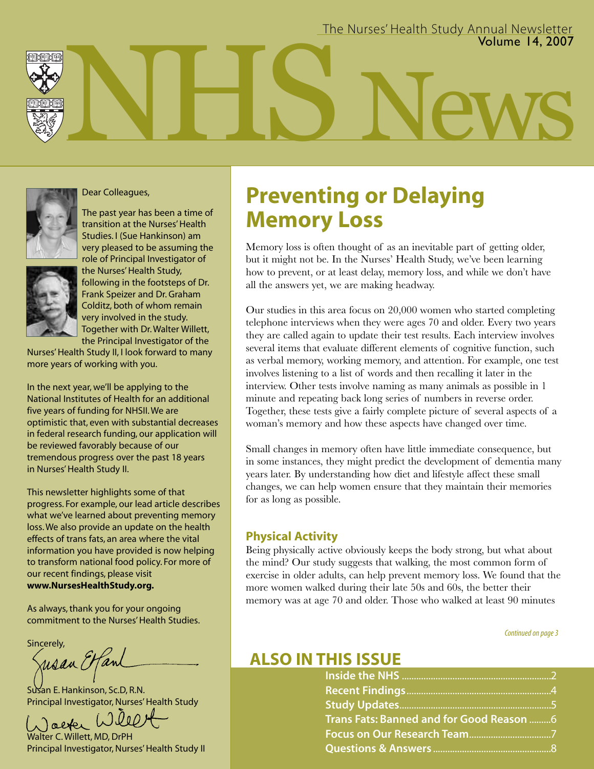

#### Dear Colleagues,

The past year has been a time of transition at the Nurses' Health Studies. I (Sue Hankinson) am very pleased to be assuming the role of Principal Investigator of the Nurses' Health Study,



following in the footsteps of Dr. Frank Speizer and Dr. Graham Colditz, both of whom remain very involved in the study. Together with Dr. Walter Willett, the Principal Investigator of the

Nurses'Health Study II, I look forward to many more years of working with you.

In the next year, we'll be applying to the National Institutes of Health for an additional five years of funding for NHSII. We are optimistic that, even with substantial decreases in federal research funding, our application will be reviewed favorably because of our tremendous progress over the past 18 years in Nurses' Health Study II.

This newsletter highlights some of that progress. For example, our lead article describes what we've learned about preventing memory loss.We also provide an update on the health effects of trans fats, an area where the vital information you have provided is now helping to transform national food policy. For more of our recent findings, please visit **www.NursesHealthStudy.org.**

As always, thank you for your ongoing commitment to the Nurses' Health Studies.

Sincerely,

risan Etfani

Susan E. Hankinson, Sc.D, R.N. Principal Investigator, Nurses' Health Study

Taeter Walter C. Willett, MD, DrPH

Principal Investigator, Nurses' Health Study II

## **Preventing or Delaying Memory Loss**

Memory loss is often thought of as an inevitable part of getting older, but it might not be. In the Nurses' Health Study, we've been learning how to prevent, or at least delay, memory loss, and while we don't have all the answers yet, we are making headway.

Our studies in this area focus on 20,000 women who started completing telephone interviews when they were ages 70 and older. Every two years they are called again to update their test results. Each interview involves several items that evaluate different elements of cognitive function, such as verbal memory, working memory, and attention. For example, one test involves listening to a list of words and then recalling it later in the interview. Other tests involve naming as many animals as possible in 1 minute and repeating back long series of numbers in reverse order. Together, these tests give a fairly complete picture of several aspects of a woman's memory and how these aspects have changed over time.

Small changes in memory often have little immediate consequence, but in some instances, they might predict the development of dementia many years later. By understanding how diet and lifestyle affect these small changes, we can help women ensure that they maintain their memories for as long as possible.

#### **Physical Activity**

Being physically active obviously keeps the body strong, but what about the mind? Our study suggests that walking, the most common form of exercise in older adults, can help prevent memory loss. We found that the more women walked during their late 50s and 60s, the better their memory was at age 70 and older. Those who walked at least 90 minutes

Continued on page 3

## **ALSO IN THIS ISSUE**

| Trans Fats: Banned and for Good Reason  6 |  |
|-------------------------------------------|--|
|                                           |  |
|                                           |  |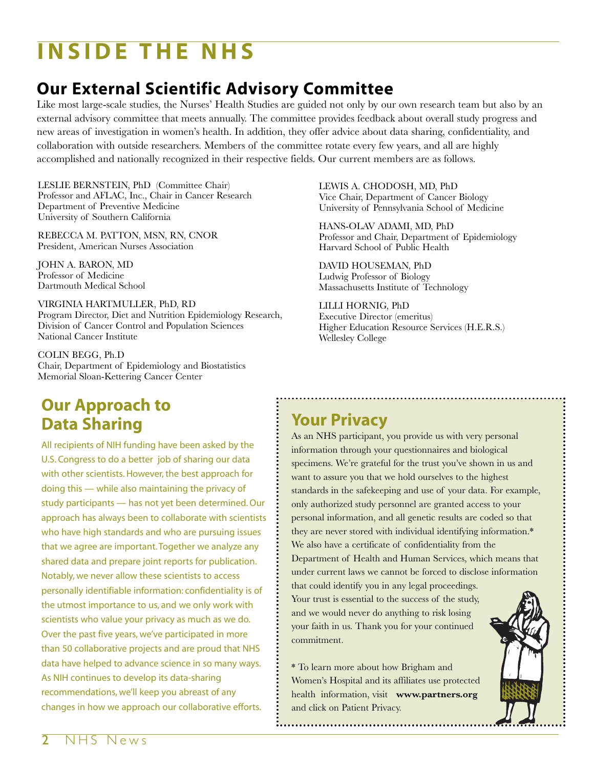# **INSIDE THE NHS**

## **Our External Scientific Advisory Committee**

Like most large-scale studies, the Nurses' Health Studies are guided not only by our own research team but also by an external advisory committee that meets annually. The committee provides feedback about overall study progress and new areas of investigation in women's health. In addition, they offer advice about data sharing, confidentiality, and collaboration with outside researchers. Members of the committee rotate every few years, and all are highly accomplished and nationally recognized in their respective fields. Our current members are as follows.

LESLIE BERNSTEIN, PhD (Committee Chair) Professor and AFLAC, Inc., Chair in Cancer Research Department of Preventive Medicine University of Southern California

REBECCA M. PATTON, MSN, RN, CNOR President, American Nurses Association

JOHN A. BARON, MD Professor of Medicine Dartmouth Medical School

VIRGINIA HARTMULLER, PhD, RD Program Director, Diet and Nutrition Epidemiology Research, Division of Cancer Control and Population Sciences National Cancer Institute

COLIN BEGG, Ph.D Chair, Department of Epidemiology and Biostatistics Memorial Sloan-Kettering Cancer Center

LEWIS A. CHODOSH, MD, PhD Vice Chair, Department of Cancer Biology University of Pennsylvania School of Medicine

HANS-OLAV ADAMI, MD, PhD Professor and Chair, Department of Epidemiology Harvard School of Public Health

DAVID HOUSEMAN, PhD Ludwig Professor of Biology Massachusetts Institute of Technology

LILLI HORNIG, PhD Executive Director (emeritus) Higher Education Resource Services (H.E.R.S.) Wellesley College

## **Our Approach to Data Sharing**

All recipients of NIH funding have been asked by the U.S. Congress to do a better job of sharing our data with other scientists. However, the best approach for doing this — while also maintaining the privacy of study participants — has not yet been determined. Our approach has always been to collaborate with scientists who have high standards and who are pursuing issues that we agree are important. Together we analyze any shared data and prepare joint reports for publication. Notably, we never allow these scientists to access personally identifiable information: confidentiality is of the utmost importance to us, and we only work with scientists who value your privacy as much as we do. Over the past five years, we've participated in more than 50 collaborative projects and are proud that NHS data have helped to advance science in so many ways. As NIH continues to develop its data-sharing recommendations, we'll keep you abreast of any changes in how we approach our collaborative efforts.

## **Your Privacy**

As an NHS participant, you provide us with very personal information through your questionnaires and biological specimens. We're grateful for the trust you've shown in us and want to assure you that we hold ourselves to the highest standards in the safekeeping and use of your data. For example, only authorized study personnel are granted access to your personal information, and all genetic results are coded so that they are never stored with individual identifying information.\* We also have a certificate of confidentiality from the Department of Health and Human Services, which means that under current laws we cannot be forced to disclose information that could identify you in any legal proceedings.

Your trust is essential to the success of the study, and we would never do anything to risk losing your faith in us. Thank you for your continued commitment.

\* To learn more about how Brigham and Women's Hospital and its affiliates use protected health information, visit **www.partners.org** and click on Patient Privacy.

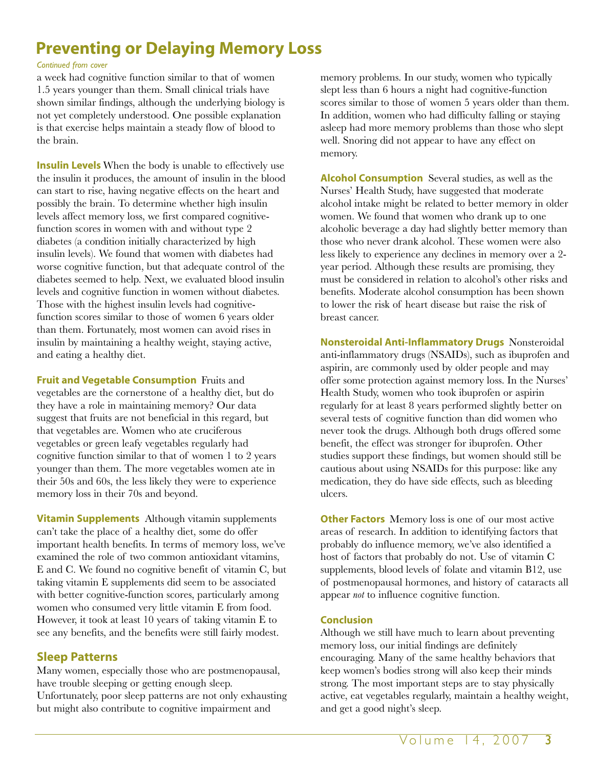## **Preventing or Delaying Memory Loss**

#### *Continued from cover*

a week had cognitive function similar to that of women 1.5 years younger than them. Small clinical trials have shown similar findings, although the underlying biology is not yet completely understood. One possible explanation is that exercise helps maintain a steady flow of blood to the brain.

**Insulin Levels** When the body is unable to effectively use the insulin it produces, the amount of insulin in the blood can start to rise, having negative effects on the heart and possibly the brain. To determine whether high insulin levels affect memory loss, we first compared cognitivefunction scores in women with and without type 2 diabetes (a condition initially characterized by high insulin levels). We found that women with diabetes had worse cognitive function, but that adequate control of the diabetes seemed to help. Next, we evaluated blood insulin levels and cognitive function in women without diabetes. Those with the highest insulin levels had cognitivefunction scores similar to those of women 6 years older than them. Fortunately, most women can avoid rises in insulin by maintaining a healthy weight, staying active, and eating a healthy diet.

**Fruit and Vegetable Consumption** Fruits and vegetables are the cornerstone of a healthy diet, but do they have a role in maintaining memory? Our data suggest that fruits are not beneficial in this regard, but that vegetables are. Women who ate cruciferous vegetables or green leafy vegetables regularly had cognitive function similar to that of women 1 to 2 years younger than them. The more vegetables women ate in their 50s and 60s, the less likely they were to experience memory loss in their 70s and beyond.

**Vitamin Supplements** Although vitamin supplements can't take the place of a healthy diet, some do offer important health benefits. In terms of memory loss, we've examined the role of two common antioxidant vitamins, E and C. We found no cognitive benefit of vitamin C, but taking vitamin E supplements did seem to be associated with better cognitive-function scores, particularly among women who consumed very little vitamin E from food. However, it took at least 10 years of taking vitamin E to see any benefits, and the benefits were still fairly modest.

### **Sleep Patterns**

Many women, especially those who are postmenopausal, have trouble sleeping or getting enough sleep. Unfortunately, poor sleep patterns are not only exhausting but might also contribute to cognitive impairment and

memory problems. In our study, women who typically slept less than 6 hours a night had cognitive-function scores similar to those of women 5 years older than them. In addition, women who had difficulty falling or staying asleep had more memory problems than those who slept well. Snoring did not appear to have any effect on memory.

**Alcohol Consumption** Several studies, as well as the Nurses' Health Study, have suggested that moderate alcohol intake might be related to better memory in older women. We found that women who drank up to one alcoholic beverage a day had slightly better memory than those who never drank alcohol. These women were also less likely to experience any declines in memory over a 2 year period. Although these results are promising, they must be considered in relation to alcohol's other risks and benefits. Moderate alcohol consumption has been shown to lower the risk of heart disease but raise the risk of breast cancer.

**Nonsteroidal Anti-Inflammatory Drugs** Nonsteroidal anti-inflammatory drugs (NSAIDs), such as ibuprofen and aspirin, are commonly used by older people and may offer some protection against memory loss. In the Nurses' Health Study, women who took ibuprofen or aspirin regularly for at least 8 years performed slightly better on several tests of cognitive function than did women who never took the drugs. Although both drugs offered some benefit, the effect was stronger for ibuprofen. Other studies support these findings, but women should still be cautious about using NSAIDs for this purpose: like any medication, they do have side effects, such as bleeding ulcers.

**Other Factors** Memory loss is one of our most active areas of research. In addition to identifying factors that probably do influence memory, we've also identified a host of factors that probably do not. Use of vitamin C supplements, blood levels of folate and vitamin B12, use of postmenopausal hormones, and history of cataracts all appear *not* to influence cognitive function.

#### **Conclusion**

Although we still have much to learn about preventing memory loss, our initial findings are definitely encouraging. Many of the same healthy behaviors that keep women's bodies strong will also keep their minds strong. The most important steps are to stay physically active, eat vegetables regularly, maintain a healthy weight, and get a good night's sleep.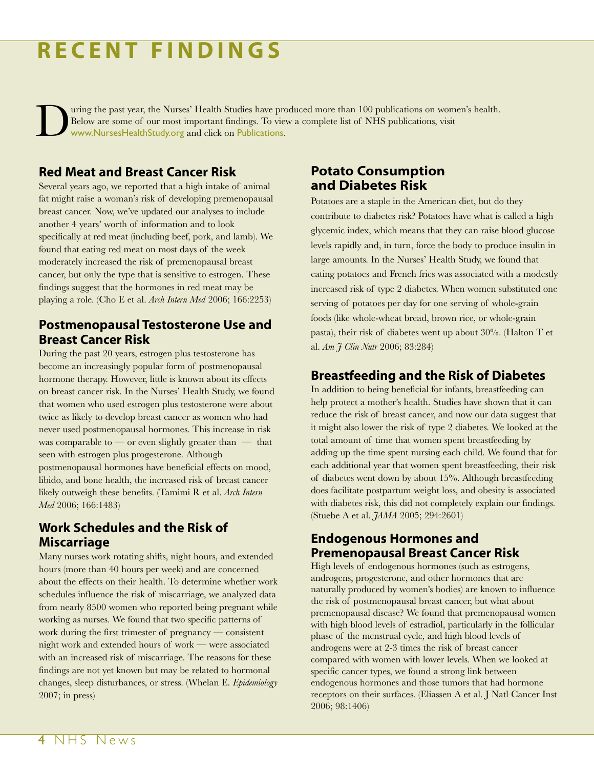# **RECENT FINDINGS**

uring the past year, the Nurses' Health Studies have produced more than 100 publications on women's health. Below are some of our most important findings. To view a complete list of NHS publications, visit www.NursesHealthStudy.org and click on Publications.

### **Red Meat and Breast Cancer Risk**

Several years ago, we reported that a high intake of animal fat might raise a woman's risk of developing premenopausal breast cancer. Now, we've updated our analyses to include another 4 years' worth of information and to look specifically at red meat (including beef, pork, and lamb). We found that eating red meat on most days of the week moderately increased the risk of premenopausal breast cancer, but only the type that is sensitive to estrogen. These findings suggest that the hormones in red meat may be playing a role. (Cho E et al. *Arch Intern Med* 2006; 166:2253)

### **Postmenopausal Testosterone Use and Breast Cancer Risk**

During the past 20 years, estrogen plus testosterone has become an increasingly popular form of postmenopausal hormone therapy. However, little is known about its effects on breast cancer risk. In the Nurses' Health Study, we found that women who used estrogen plus testosterone were about twice as likely to develop breast cancer as women who had never used postmenopausal hormones. This increase in risk was comparable to — or even slightly greater than  $-$  that seen with estrogen plus progesterone. Although postmenopausal hormones have beneficial effects on mood, libido, and bone health, the increased risk of breast cancer likely outweigh these benefits. (Tamimi R et al. *Arch Intern Med* 2006; 166:1483)

## **Work Schedules and the Risk of Miscarriage**

Many nurses work rotating shifts, night hours, and extended hours (more than 40 hours per week) and are concerned about the effects on their health. To determine whether work schedules influence the risk of miscarriage, we analyzed data from nearly 8500 women who reported being pregnant while working as nurses. We found that two specific patterns of work during the first trimester of pregnancy — consistent night work and extended hours of work — were associated with an increased risk of miscarriage. The reasons for these findings are not yet known but may be related to hormonal changes, sleep disturbances, or stress. (Whelan E. *Epidemiology* 2007; in press)

### **Potato Consumption and Diabetes Risk**

Potatoes are a staple in the American diet, but do they contribute to diabetes risk? Potatoes have what is called a high glycemic index, which means that they can raise blood glucose levels rapidly and, in turn, force the body to produce insulin in large amounts. In the Nurses' Health Study, we found that eating potatoes and French fries was associated with a modestly increased risk of type 2 diabetes. When women substituted one serving of potatoes per day for one serving of whole-grain foods (like whole-wheat bread, brown rice, or whole-grain pasta), their risk of diabetes went up about 30%. (Halton T et al. *Am J Clin Nutr* 2006; 83:284)

### **Breastfeeding and the Risk of Diabetes**

In addition to being beneficial for infants, breastfeeding can help protect a mother's health. Studies have shown that it can reduce the risk of breast cancer, and now our data suggest that it might also lower the risk of type 2 diabetes. We looked at the total amount of time that women spent breastfeeding by adding up the time spent nursing each child. We found that for each additional year that women spent breastfeeding, their risk of diabetes went down by about 15%. Although breastfeeding does facilitate postpartum weight loss, and obesity is associated with diabetes risk, this did not completely explain our findings. (Stuebe A et al. *JAMA* 2005; 294:2601)

### **Endogenous Hormones and Premenopausal Breast Cancer Risk**

High levels of endogenous hormones (such as estrogens, androgens, progesterone, and other hormones that are naturally produced by women's bodies) are known to influence the risk of postmenopausal breast cancer, but what about premenopausal disease? We found that premenopausal women with high blood levels of estradiol, particularly in the follicular phase of the menstrual cycle, and high blood levels of androgens were at 2-3 times the risk of breast cancer compared with women with lower levels. When we looked at specific cancer types, we found a strong link between endogenous hormones and those tumors that had hormone receptors on their surfaces. (Eliassen A et al. J Natl Cancer Inst 2006; 98:1406)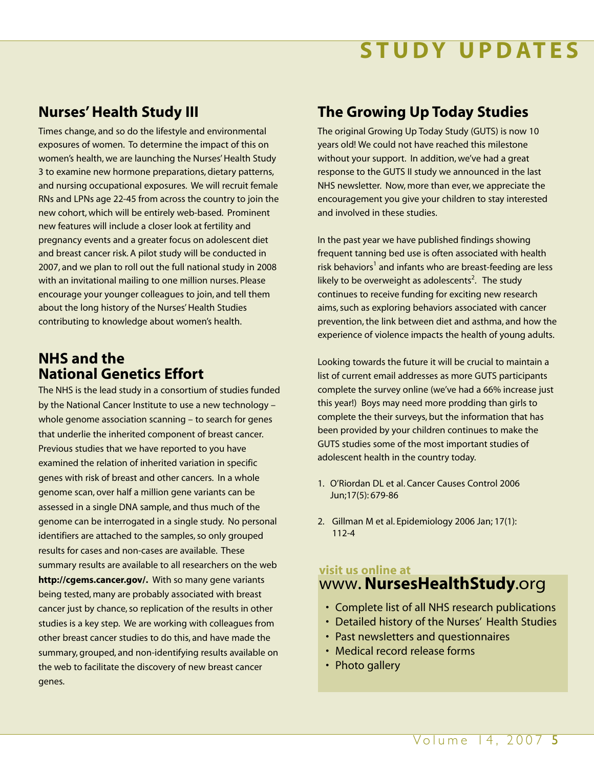# **RECENT FINDINGS STUDY UPDATES**

## **Nurses' Health Study III**

Times change, and so do the lifestyle and environmental exposures of women. To determine the impact of this on women's health, we are launching the Nurses' Health Study 3 to examine new hormone preparations, dietary patterns, and nursing occupational exposures. We will recruit female RNs and LPNs age 22-45 from across the country to join the new cohort, which will be entirely web-based. Prominent new features will include a closer look at fertility and pregnancy events and a greater focus on adolescent diet and breast cancer risk. A pilot study will be conducted in 2007, and we plan to roll out the full national study in 2008 with an invitational mailing to one million nurses. Please encourage your younger colleagues to join, and tell them about the long history of the Nurses' Health Studies contributing to knowledge about women's health.

## **NHS and the National Genetics Effort**

The NHS is the lead study in a consortium of studies funded by the National Cancer Institute to use a new technology – whole genome association scanning – to search for genes that underlie the inherited component of breast cancer. Previous studies that we have reported to you have examined the relation of inherited variation in specific genes with risk of breast and other cancers. In a whole genome scan, over half a million gene variants can be assessed in a single DNA sample, and thus much of the genome can be interrogated in a single study. No personal identifiers are attached to the samples, so only grouped results for cases and non-cases are available. These summary results are available to all researchers on the web **http://cgems.cancer.gov/.** With so many gene variants being tested, many are probably associated with breast cancer just by chance, so replication of the results in other studies is a key step. We are working with colleagues from other breast cancer studies to do this, and have made the summary, grouped, and non-identifying results available on the web to facilitate the discovery of new breast cancer genes.

## **The Growing Up Today Studies**

The original Growing Up Today Study (GUTS) is now 10 years old! We could not have reached this milestone without your support. In addition, we've had a great response to the GUTS II study we announced in the last NHS newsletter. Now, more than ever, we appreciate the encouragement you give your children to stay interested and involved in these studies.

In the past year we have published findings showing frequent tanning bed use is often associated with health risk behaviors<sup>1</sup> and infants who are breast-feeding are less likely to be overweight as adolescents<sup>2</sup>. The study continues to receive funding for exciting new research aims, such as exploring behaviors associated with cancer prevention, the link between diet and asthma, and how the experience of violence impacts the health of young adults.

Looking towards the future it will be crucial to maintain a list of current email addresses as more GUTS participants complete the survey online (we've had a 66% increase just this year!) Boys may need more prodding than girls to complete the their surveys, but the information that has been provided by your children continues to make the GUTS studies some of the most important studies of adolescent health in the country today.

- 1. O'Riordan DL et al. Cancer Causes Control 2006 Jun;17(5): 679-86
- 2. Gillman M et al. Epidemiology 2006 Jan; 17(1): 112-4

### **visit us online at** www.**NursesHealthStudy**.org

- Complete list of all NHS research publications
- Detailed history of the Nurses' Health Studies
- Past newsletters and questionnaires
- Medical record release forms
- Photo gallery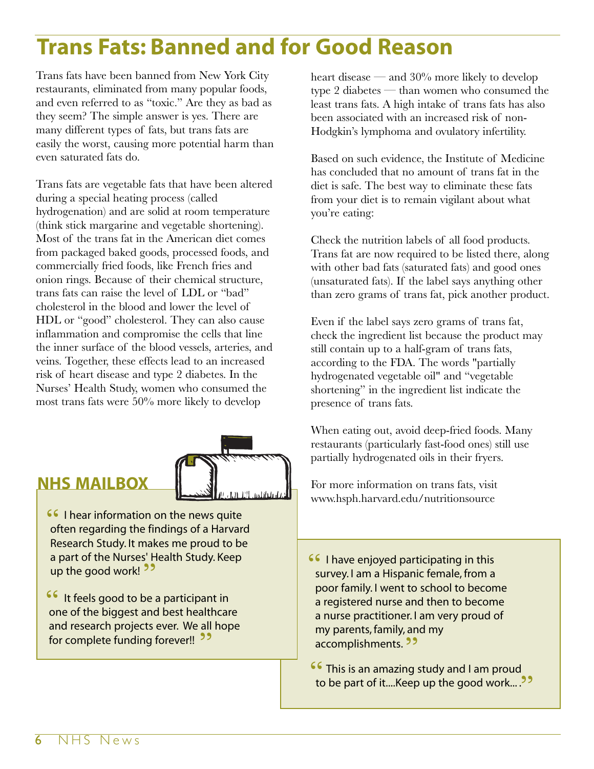# **Trans Fats: Banned and for Good Reason**

Trans fats have been banned from New York City restaurants, eliminated from many popular foods, and even referred to as "toxic." Are they as bad as they seem? The simple answer is yes. There are many different types of fats, but trans fats are easily the worst, causing more potential harm than even saturated fats do.

Trans fats are vegetable fats that have been altered during a special heating process (called hydrogenation) and are solid at room temperature (think stick margarine and vegetable shortening). Most of the trans fat in the American diet comes from packaged baked goods, processed foods, and commercially fried foods, like French fries and onion rings. Because of their chemical structure, trans fats can raise the level of LDL or "bad" cholesterol in the blood and lower the level of HDL or "good" cholesterol. They can also cause inflammation and compromise the cells that line the inner surface of the blood vessels, arteries, and veins. Together, these effects lead to an increased risk of heart disease and type 2 diabetes. In the Nurses' Health Study, women who consumed the most trans fats were 50% more likely to develop



## **NHS MAILBOX**

**16 I hear information on the news quite**<br>
often regarding the findings of a Harvar often regarding the findings of a Harvard Research Study. It makes me proud to be a part of the Nurses' Health Study. Keep a part of the Nurses' H<br>up the good work! <sup>99</sup>

It feels good to be a participant in one of the biggest and best healthcare and research projects ever. We all hope and research projects ever. We all<br>for complete funding forever!! 22 **"**

heart disease — and 30% more likely to develop type 2 diabetes — than women who consumed the least trans fats. A high intake of trans fats has also been associated with an increased risk of non-Hodgkin's lymphoma and ovulatory infertility.

Based on such evidence, the Institute of Medicine has concluded that no amount of trans fat in the diet is safe. The best way to eliminate these fats from your diet is to remain vigilant about what you're eating:

Check the nutrition labels of all food products. Trans fat are now required to be listed there, along with other bad fats (saturated fats) and good ones (unsaturated fats). If the label says anything other than zero grams of trans fat, pick another product.

Even if the label says zero grams of trans fat, check the ingredient list because the product may still contain up to a half-gram of trans fats, according to the FDA. The words "partially hydrogenated vegetable oil" and "vegetable shortening" in the ingredient list indicate the presence of trans fats.

When eating out, avoid deep-fried foods. Many restaurants (particularly fast-food ones) still use partially hydrogenated oils in their fryers.

For more information on trans fats, visit www.hsph.harvard.edu/nutritionsource

**16 I have enjoyed participating in this**<br>**EXITYOY Lama Hispanic female from a** survey. I am a Hispanic female, from a poor family. I went to school to become a registered nurse and then to become a nurse practitioner. I am very proud of my parents, family, and my my parents, iamily, an<br>accomplishments. 22

**"** This is an amazing study and I am proud to be part of it....Keep up the good work... . **"**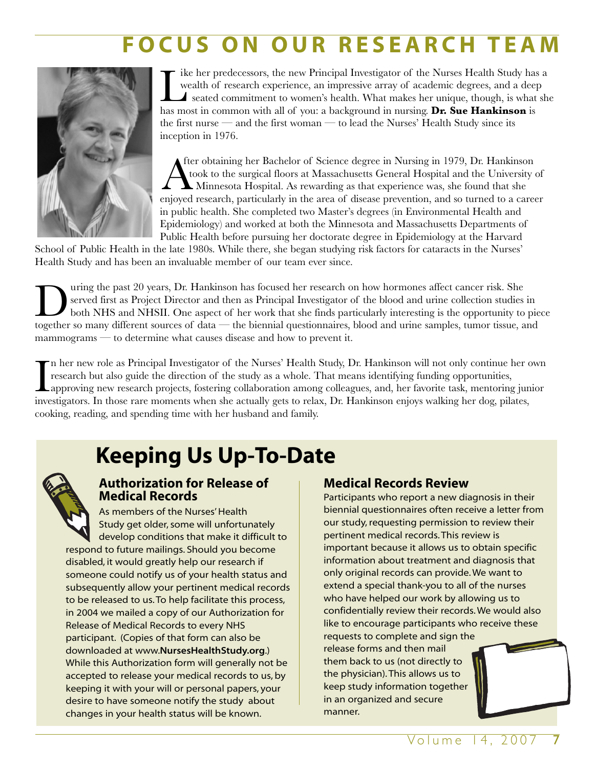# **FOCUS ON OUR RESEARCH TEAM**



I ike her predecessors, the new Principal Investigator of the Nurses Health Study has wealth of research experience, an impressive array of academic degrees, and a deep seated commitment to women's health. What makes her u ike her predecessors, the new Principal Investigator of the Nurses Health Study has a wealth of research experience, an impressive array of academic degrees, and a deep seated commitment to women's health. What makes her unique, though, is what she the first nurse — and the first woman — to lead the Nurses' Health Study since its inception in 1976.

After obtaining her Bachelor of Science degree in Nursing in 1979, Dr. Hankinson<br>took to the surgical floors at Massachusetts General Hospital and the University of<br>Minnesota Hospital. As rewarding as that experience was, fter obtaining her Bachelor of Science degree in Nursing in 1979, Dr. Hankinson took to the surgical floors at Massachusetts General Hospital and the University of Minnesota Hospital. As rewarding as that experience was, she found that she in public health. She completed two Master's degrees (in Environmental Health and Epidemiology) and worked at both the Minnesota and Massachusetts Departments of Public Health before pursuing her doctorate degree in Epidemiology at the Harvard

School of Public Health in the late 1980s. While there, she began studying risk factors for cataracts in the Nurses' Health Study and has been an invaluable member of our team ever since.

Using the past 20 years, Dr. Hankinson has focused her research on how hormones affect cancer risk. She served first as Project Director and then as Principal Investigator of the blood and urine collection studies both NHS served first as Project Director and then as Principal Investigator of the blood and urine collection studies in both NHS and NHSII. One aspect of her work that she finds particularly interesting is the opportunity to piece together so many different sources of data — the biennial questionnaires, blood and urine samples, tumor tissue, and mammograms — to determine what causes disease and how to prevent it.

In her new role as Principal Investigator of the Nurses' Health Study, Dr. Hankinson will not only continue her express research but also guide the direction of the study as a whole. That means identifying funding opportun n her new role as Principal Investigator of the Nurses' Health Study, Dr. Hankinson will not only continue her own research but also guide the direction of the study as a whole. That means identifying funding opportunities, approving new research projects, fostering collaboration among colleagues, and, her favorite task, mentoring junior cooking, reading, and spending time with her husband and family.

# **Keeping Us Up-To-Date**



### **Authorization for Release of Medical Records**

As members of the Nurses' Health Study get older, some will unfortunately develop conditions that make it difficult to respond to future mailings. Should you become disabled, it would greatly help our research if someone could notify us of your health status and subsequently allow your pertinent medical records to be released to us. To help facilitate this process, in 2004 we mailed a copy of our Authorization for Release of Medical Records to every NHS participant. (Copies of that form can also be downloaded at www.**NursesHealthStudy.org**.) While this Authorization form will generally not be accepted to release your medical records to us, by keeping it with your will or personal papers, your desire to have someone notify the study about changes in your health status will be known.

## **Medical Records Review**

Participants who report a new diagnosis in their biennial questionnaires often receive a letter from our study, requesting permission to review their pertinent medical records. This review is important because it allows us to obtain specific information about treatment and diagnosis that only original records can provide. We want to extend a special thank-you to all of the nurses who have helped our work by allowing us to confidentially review their records. We would also like to encourage participants who receive these requests to complete and sign the release forms and then mail them back to us (not directly to the physician). This allows us to keep study information together in an organized and secure manner.